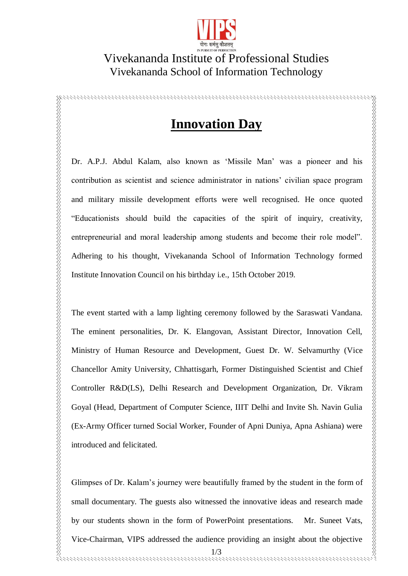

## Vivekananda Institute of Professional Studies Vivekananda School of Information Technology

## **Innovation Day**

Dr. A.P.J. Abdul Kalam, also known as 'Missile Man' was a pioneer and his contribution as scientist and science administrator in nations' civilian space program and military missile development efforts were well recognised. He once quoted "Educationists should build the capacities of the spirit of inquiry, creativity, entrepreneurial and moral leadership among students and become their role model". Adhering to his thought, Vivekananda School of Information Technology formed Institute Innovation Council on his birthday i.e., 15th October 2019.

The event started with a lamp lighting ceremony followed by the Saraswati Vandana. The eminent personalities, Dr. K. Elangovan, Assistant Director, Innovation Cell, Ministry of Human Resource and Development, Guest Dr. W. Selvamurthy (Vice Chancellor Amity University, Chhattisgarh, Former Distinguished Scientist and Chief Controller R&D(LS), Delhi Research and Development Organization, Dr. Vikram Goyal (Head, Department of Computer Science, IIIT Delhi and Invite Sh. Navin Gulia (Ex-Army Officer turned Social Worker, Founder of Apni Duniya, Apna Ashiana) were introduced and felicitated.

1/3 Glimpses of Dr. Kalam's journey were beautifully framed by the student in the form of small documentary. The guests also witnessed the innovative ideas and research made by our students shown in the form of PowerPoint presentations. Mr. Suneet Vats, Vice-Chairman, VIPS addressed the audience providing an insight about the objective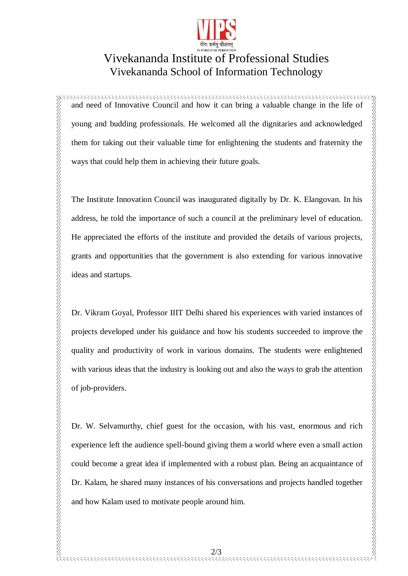

## Vivekananda Institute of Professional Studies Vivekananda School of Information Technology

and need of Innovative Council and how it can bring a valuable change in the life of young and budding professionals. He welcomed all the dignitaries and acknowledged them for taking out their valuable time for enlightening the students and fraternity the ways that could help them in achieving their future goals.

The Institute Innovation Council was inaugurated digitally by Dr. K. Elangovan. In his address, he told the importance of such a council at the preliminary level of education. He appreciated the efforts of the institute and provided the details of various projects, grants and opportunities that the government is also extending for various innovative ideas and startups.

Dr. Vikram Goyal, Professor IIIT Delhi shared his experiences with varied instances of projects developed under his guidance and how his students succeeded to improve the quality and productivity of work in various domains. The students were enlightened with various ideas that the industry is looking out and also the ways to grab the attention of job-providers.

Dr. W. Selvamurthy, chief guest for the occasion, with his vast, enormous and rich experience left the audience spell-bound giving them a world where even a small action could become a great idea if implemented with a robust plan. Being an acquaintance of Dr. Kalam, he shared many instances of his conversations and projects handled together and how Kalam used to motivate people around him.